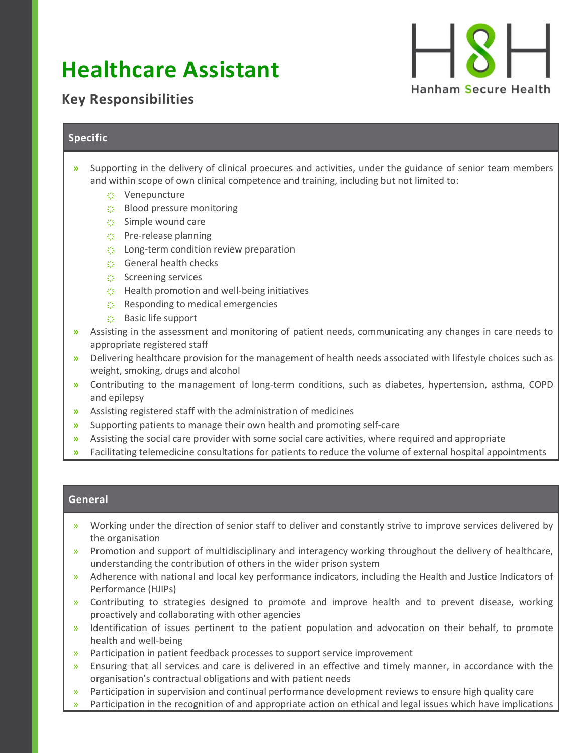## **Healthcare Assistant**



## **Key Responsibilities**

## **Specific**

- **»** Supporting in the delivery of clinical proecures and activities, under the guidance of senior team members and within scope of own clinical competence and training, including but not limited to:
	- **҉** Venepuncture
	- **҉** Blood pressure monitoring
	- **҉** Simple wound care
	- **҉** Pre-release planning
	- **S** Long-term condition review preparation
	- **҉** General health checks
	- **҉** Screening services
	- **K** Health promotion and well-being initiatives
	- **҉** Responding to medical emergencies
	- **҉** Basic life support
- **»** Assisting in the assessment and monitoring of patient needs, communicating any changes in care needs to appropriate registered staff
- **»** Delivering healthcare provision for the management of health needs associated with lifestyle choices such as weight, smoking, drugs and alcohol
- **»** Contributing to the management of long-term conditions, such as diabetes, hypertension, asthma, COPD and epilepsy
- **»** Assisting registered staff with the administration of medicines
- **»** Supporting patients to manage their own health and promoting self-care
- **»** Assisting the social care provider with some social care activities, where required and appropriate
- **»** Facilitating telemedicine consultations for patients to reduce the volume of external hospital appointments

## **General**

- » Working under the direction of senior staff to deliver and constantly strive to improve services delivered by the organisation
- » Promotion and support of multidisciplinary and interagency working throughout the delivery of healthcare, understanding the contribution of others in the wider prison system
- » Adherence with national and local key performance indicators, including the Health and Justice Indicators of Performance (HJIPs)
- » Contributing to strategies designed to promote and improve health and to prevent disease, working proactively and collaborating with other agencies
- » Identification of issues pertinent to the patient population and advocation on their behalf, to promote health and well-being
- » Participation in patient feedback processes to support service improvement
- » Ensuring that all services and care is delivered in an effective and timely manner, in accordance with the organisation's contractual obligations and with patient needs
- » Participation in supervision and continual performance development reviews to ensure high quality care
- » Participation in the recognition of and appropriate action on ethical and legal issues which have implications